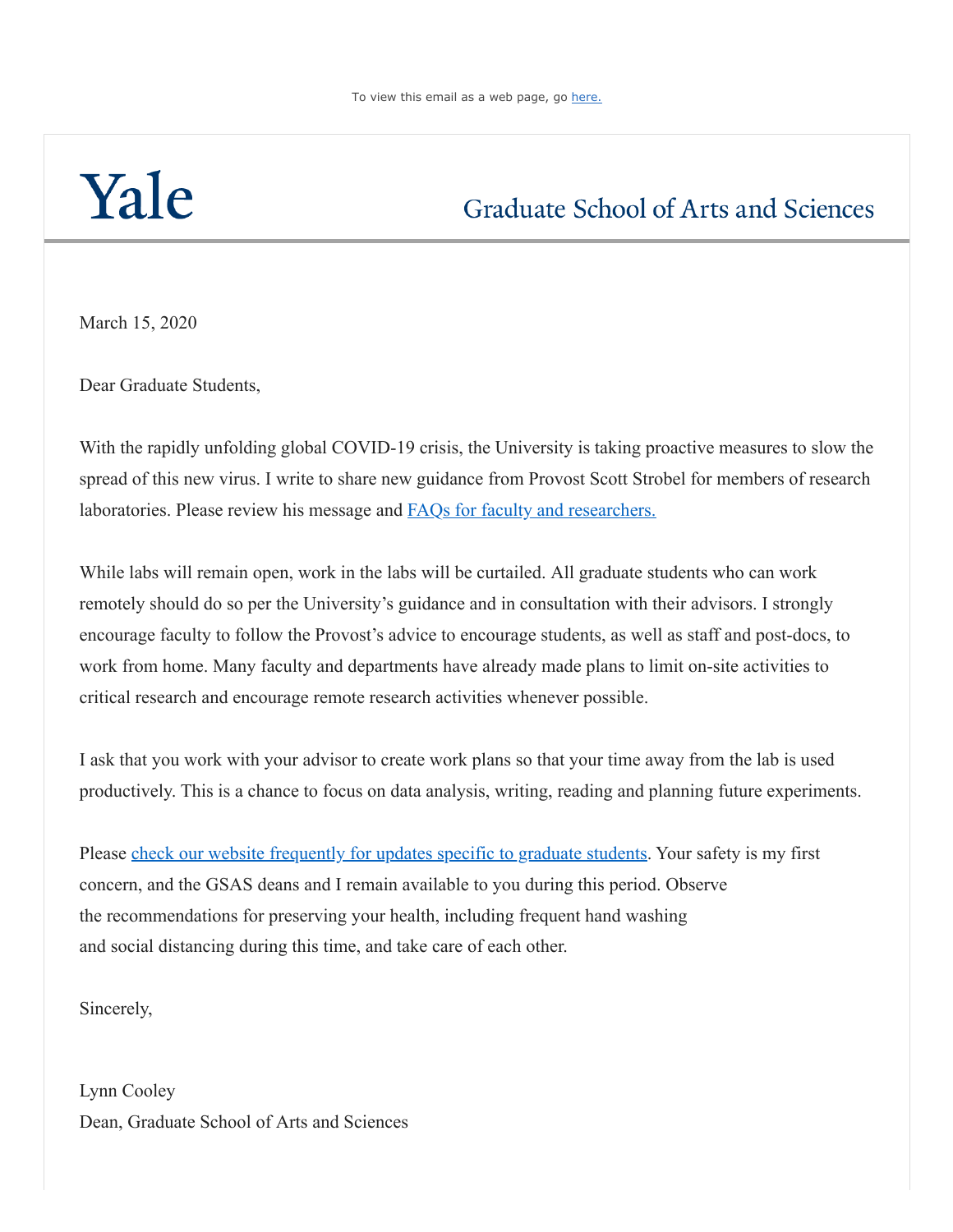## Yale

## **Graduate School of Arts and Sciences**

March 15, 2020

Dear Graduate Students,

With the rapidly unfolding global COVID-19 crisis, the University is taking proactive measures to slow the spread of this new virus. I write to share new guidance from Provost Scott Strobel for members of research laboratories. Please review his message and FAQs for faculty and researchers.

While labs will remain open, work in the labs will be curtailed. All graduate students who can work remotely should do so per the University's guidance and in consultation with their advisors. I strongly encourage faculty to follow the Provost's advice to encourage students, as well as staff and post-docs, to work from home. Many faculty and departments have already made plans to limit on-site activities to critical research and encourage remote research activities whenever possible.

I ask that you work with your advisor to create work plans so that your time away from the lab is used productively. This is a chance to focus on data analysis, writing, reading and planning future experiments.

Please [check our website frequently for updates specific to graduate students.](http://click.message.yale.edu/?qs=0cad754577d570e8508c7941b3f1aaa93900f959f1b8b5b002b76c750fe8f23d85a9382710aa0d8721df13d4a311488c22788ed2265a846a) Your safety is my first concern, and the GSAS deans and I remain available to you during this period. Observe the recommendations for preserving your health, including frequent hand washing and social distancing during this time, and take care of each other.

Sincerely,

Lynn Cooley Dean, Graduate School of Arts and Sciences